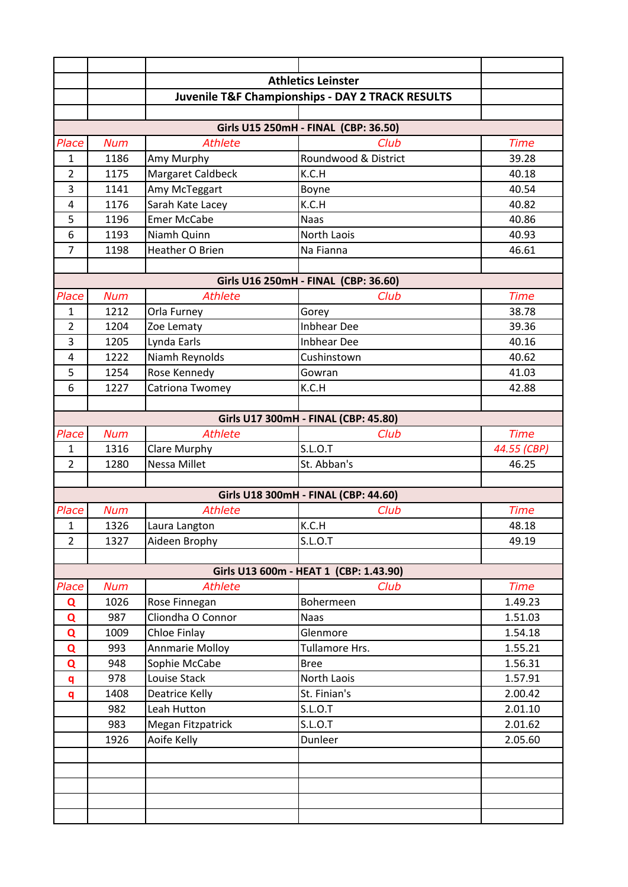|                |            | <b>Athletics Leinster</b> |                                                             |             |
|----------------|------------|---------------------------|-------------------------------------------------------------|-------------|
|                |            |                           | <b>Juvenile T&amp;F Championships - DAY 2 TRACK RESULTS</b> |             |
|                |            |                           |                                                             |             |
|                |            |                           | Girls U15 250mH - FINAL (CBP: 36.50)                        |             |
| Place          | <b>Num</b> | <b>Athlete</b>            | Club                                                        | <b>Time</b> |
| $\mathbf{1}$   | 1186       | Amy Murphy                | Roundwood & District                                        | 39.28       |
| $\overline{2}$ | 1175       | Margaret Caldbeck         | K.C.H                                                       | 40.18       |
| 3              | 1141       | Amy McTeggart             | Boyne                                                       | 40.54       |
| $\overline{4}$ | 1176       | Sarah Kate Lacey          | K.C.H                                                       | 40.82       |
| 5              | 1196       | <b>Emer McCabe</b>        | <b>Naas</b>                                                 | 40.86       |
| 6              | 1193       | Niamh Quinn               | North Laois                                                 | 40.93       |
| $\overline{7}$ | 1198       | Heather O Brien           | Na Fianna                                                   | 46.61       |
|                |            |                           |                                                             |             |
|                |            |                           | Girls U16 250mH - FINAL (CBP: 36.60)                        |             |
| Place          | <b>Num</b> | <b>Athlete</b>            | Club                                                        | <b>Time</b> |
| $\mathbf{1}$   | 1212       | Orla Furney               | Gorey                                                       | 38.78       |
| $\overline{2}$ | 1204       | Zoe Lematy                | <b>Inbhear Dee</b>                                          | 39.36       |
| 3              | 1205       | Lynda Earls               | <b>Inbhear Dee</b>                                          | 40.16       |
| $\overline{4}$ | 1222       | Niamh Reynolds            | Cushinstown                                                 | 40.62       |
| 5              | 1254       | Rose Kennedy              | Gowran                                                      | 41.03       |
| 6              | 1227       | Catriona Twomey           | K.C.H                                                       | 42.88       |
|                |            |                           |                                                             |             |
|                |            |                           | Girls U17 300mH - FINAL (CBP: 45.80)                        |             |
| Place          | <b>Num</b> | <b>Athlete</b>            | Club                                                        | <b>Time</b> |
| $\mathbf{1}$   | 1316       | Clare Murphy              | S.L.O.T                                                     | 44.55 (CBP) |
| $\overline{2}$ | 1280       | Nessa Millet              | St. Abban's                                                 | 46.25       |
|                |            |                           | Girls U18 300mH - FINAL (CBP: 44.60)                        |             |
| Place          | <b>Num</b> | <b>Athlete</b>            | Club                                                        | <b>Time</b> |
| 1              | 1326       | Laura Langton             | K.C.H                                                       | 48.18       |
| 2              | 1327       | Aideen Brophy             | S.L.O.T                                                     | 49.19       |
|                |            |                           |                                                             |             |
|                |            |                           | Girls U13 600m - HEAT 1 (CBP: 1.43.90)                      |             |
| Place          | <b>Num</b> | <b>Athlete</b>            | Club                                                        | <b>Time</b> |
| Q              | 1026       | Rose Finnegan             | Bohermeen                                                   | 1.49.23     |
| Q              | 987        | Cliondha O Connor         | <b>Naas</b>                                                 | 1.51.03     |
| Q              | 1009       | Chloe Finlay              | Glenmore                                                    | 1.54.18     |
| $\mathbf Q$    | 993        | <b>Annmarie Molloy</b>    | Tullamore Hrs.                                              | 1.55.21     |
| Q              | 948        | Sophie McCabe             | <b>Bree</b>                                                 | 1.56.31     |
| q              | 978        | Louise Stack              | North Laois                                                 | 1.57.91     |
| q              | 1408       | <b>Deatrice Kelly</b>     | St. Finian's                                                | 2.00.42     |
|                | 982        | Leah Hutton               | S.L.O.T                                                     | 2.01.10     |
|                | 983        | Megan Fitzpatrick         | S.L.O.T                                                     | 2.01.62     |
|                | 1926       | Aoife Kelly               | Dunleer                                                     | 2.05.60     |
|                |            |                           |                                                             |             |
|                |            |                           |                                                             |             |
|                |            |                           |                                                             |             |
|                |            |                           |                                                             |             |
|                |            |                           |                                                             |             |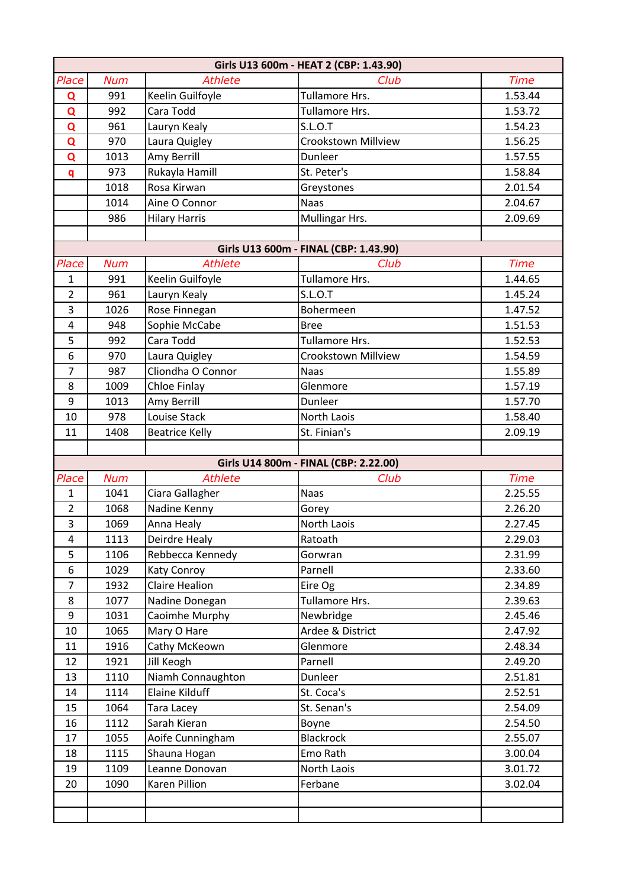| Girls U13 600m - HEAT 2 (CBP: 1.43.90) |            |                       |                                       |             |  |
|----------------------------------------|------------|-----------------------|---------------------------------------|-------------|--|
| Place                                  | <b>Num</b> | <b>Athlete</b>        | Club                                  | <b>Time</b> |  |
| Q                                      | 991        | Keelin Guilfoyle      | Tullamore Hrs.                        | 1.53.44     |  |
| Q                                      | 992        | Cara Todd             | Tullamore Hrs.                        | 1.53.72     |  |
| Q                                      | 961        | Lauryn Kealy          | S.L.O.T                               | 1.54.23     |  |
| Q                                      | 970        | Laura Quigley         | <b>Crookstown Millview</b>            | 1.56.25     |  |
| Q                                      | 1013       | Amy Berrill           | Dunleer                               | 1.57.55     |  |
| q                                      | 973        | Rukayla Hamill        | St. Peter's                           | 1.58.84     |  |
|                                        | 1018       | Rosa Kirwan           | Greystones                            | 2.01.54     |  |
|                                        | 1014       | Aine O Connor         | <b>Naas</b>                           | 2.04.67     |  |
|                                        | 986        | <b>Hilary Harris</b>  | Mullingar Hrs.                        | 2.09.69     |  |
|                                        |            |                       |                                       |             |  |
|                                        |            |                       | Girls U13 600m - FINAL (CBP: 1.43.90) |             |  |
| Place                                  | <b>Num</b> | <b>Athlete</b>        | Club                                  | <b>Time</b> |  |
| $\mathbf{1}$                           | 991        | Keelin Guilfoyle      | <b>Tullamore Hrs.</b>                 | 1.44.65     |  |
| $\overline{2}$                         | 961        | Lauryn Kealy          | <b>S.L.O.T</b>                        | 1.45.24     |  |
| 3                                      | 1026       | Rose Finnegan         | Bohermeen                             | 1.47.52     |  |
| $\overline{\mathbf{4}}$                | 948        | Sophie McCabe         | <b>Bree</b>                           | 1.51.53     |  |
| 5                                      | 992        | Cara Todd             | Tullamore Hrs.                        | 1.52.53     |  |
| 6                                      | 970        | Laura Quigley         | <b>Crookstown Millview</b>            | 1.54.59     |  |
| 7                                      | 987        | Cliondha O Connor     | <b>Naas</b>                           | 1.55.89     |  |
| 8                                      | 1009       | Chloe Finlay          | Glenmore                              | 1.57.19     |  |
| 9                                      | 1013       | Amy Berrill           | Dunleer                               | 1.57.70     |  |
| 10                                     | 978        | Louise Stack          | North Laois                           | 1.58.40     |  |
| 11                                     | 1408       | <b>Beatrice Kelly</b> | St. Finian's                          | 2.09.19     |  |
|                                        |            |                       |                                       |             |  |
|                                        |            |                       | Girls U14 800m - FINAL (CBP: 2.22.00) |             |  |
| Place                                  | <b>Num</b> | <b>Athlete</b>        | Club                                  | <b>Time</b> |  |
| $\mathbf{1}$                           | 1041       | Ciara Gallagher       | <b>Naas</b>                           | 2.25.55     |  |
| $\overline{2}$                         | 1068       | Nadine Kenny          | Gorey                                 | 2.26.20     |  |
| 3                                      | 1069       | Anna Healy            | North Laois                           | 2.27.45     |  |
| 4                                      | 1113       | Deirdre Healy         | Ratoath                               | 2.29.03     |  |
| 5                                      | 1106       | Rebbecca Kennedy      | Gorwran                               | 2.31.99     |  |
| 6                                      | 1029       | Katy Conroy           | Parnell                               | 2.33.60     |  |
| $\overline{7}$                         | 1932       | Claire Healion        | Eire Og                               | 2.34.89     |  |
| 8                                      | 1077       | Nadine Donegan        | Tullamore Hrs.                        | 2.39.63     |  |
| 9                                      | 1031       | Caoimhe Murphy        | Newbridge                             | 2.45.46     |  |
| 10                                     | 1065       | Mary O Hare           | Ardee & District                      | 2.47.92     |  |
| 11                                     | 1916       | Cathy McKeown         | Glenmore                              | 2.48.34     |  |
| 12                                     | 1921       | Jill Keogh            | Parnell                               | 2.49.20     |  |
| 13                                     | 1110       | Niamh Connaughton     | Dunleer                               | 2.51.81     |  |
| 14                                     | 1114       | <b>Elaine Kilduff</b> | St. Coca's                            | 2.52.51     |  |
| 15                                     | 1064       | Tara Lacey            | St. Senan's                           | 2.54.09     |  |
| 16                                     | 1112       | Sarah Kieran          | Boyne                                 | 2.54.50     |  |
| 17                                     | 1055       | Aoife Cunningham      | <b>Blackrock</b>                      | 2.55.07     |  |
| 18                                     | 1115       | Shauna Hogan          | Emo Rath                              | 3.00.04     |  |
| 19                                     | 1109       | Leanne Donovan        | North Laois                           | 3.01.72     |  |
| 20                                     | 1090       | Karen Pillion         | Ferbane                               | 3.02.04     |  |
|                                        |            |                       |                                       |             |  |
|                                        |            |                       |                                       |             |  |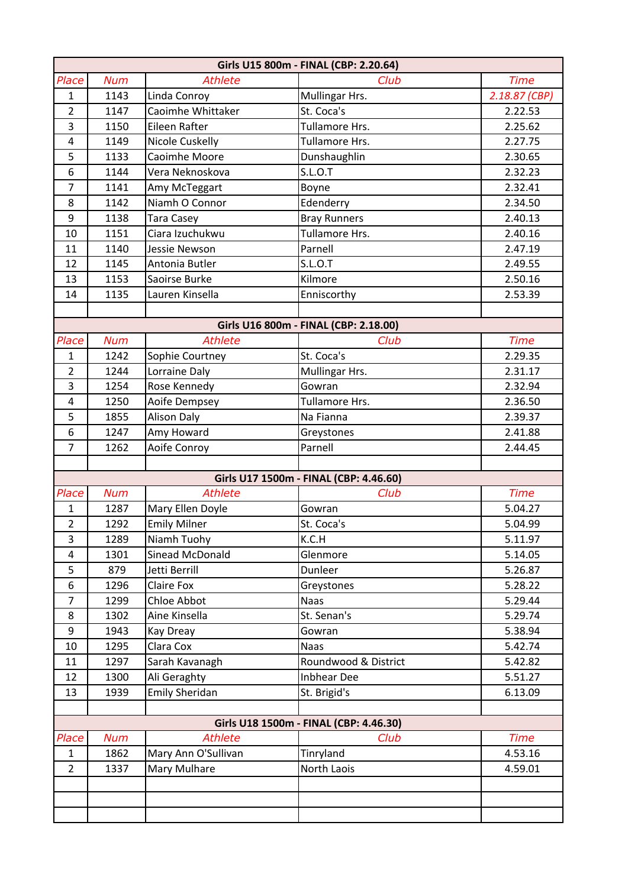|                  | Girls U15 800m - FINAL (CBP: 2.20.64) |                                    |                                                |               |  |
|------------------|---------------------------------------|------------------------------------|------------------------------------------------|---------------|--|
| Place            | <b>Num</b>                            | <b>Athlete</b>                     | Club                                           | <b>Time</b>   |  |
| $\mathbf{1}$     | 1143                                  | Linda Conroy                       | Mullingar Hrs.                                 | 2.18.87 (CBP) |  |
| $\overline{2}$   | 1147                                  | Caoimhe Whittaker                  | St. Coca's                                     | 2.22.53       |  |
| 3                | 1150                                  | Eileen Rafter                      | Tullamore Hrs.                                 | 2.25.62       |  |
| $\overline{4}$   | 1149                                  | <b>Nicole Cuskelly</b>             | Tullamore Hrs.                                 | 2.27.75       |  |
| 5                | 1133                                  | Caoimhe Moore                      | Dunshaughlin                                   | 2.30.65       |  |
| 6                | 1144                                  | Vera Neknoskova                    | S.L.O.T                                        | 2.32.23       |  |
| $\overline{7}$   | 1141                                  | Amy McTeggart                      | Boyne                                          | 2.32.41       |  |
| 8                | 1142                                  | Niamh O Connor                     | Edenderry                                      | 2.34.50       |  |
| $\boldsymbol{9}$ | 1138                                  | <b>Tara Casey</b>                  | <b>Bray Runners</b>                            | 2.40.13       |  |
| 10               | 1151                                  | Ciara Izuchukwu                    | Tullamore Hrs.                                 | 2.40.16       |  |
| 11               | 1140                                  | Jessie Newson                      | Parnell                                        | 2.47.19       |  |
| 12               | 1145                                  | Antonia Butler                     | <b>S.L.O.T</b>                                 | 2.49.55       |  |
| 13               | 1153                                  | Saoirse Burke                      | Kilmore                                        | 2.50.16       |  |
| 14               | 1135                                  | Lauren Kinsella                    | Enniscorthy                                    | 2.53.39       |  |
|                  |                                       |                                    |                                                |               |  |
|                  |                                       |                                    | Girls U16 800m - FINAL (CBP: 2.18.00)          |               |  |
| Place            | <b>Num</b>                            | <b>Athlete</b>                     | Club                                           | <b>Time</b>   |  |
| $\mathbf{1}$     | 1242                                  | Sophie Courtney                    | St. Coca's                                     | 2.29.35       |  |
| $\overline{2}$   | 1244                                  | Lorraine Daly                      | Mullingar Hrs.                                 | 2.31.17       |  |
| $\overline{3}$   | 1254                                  | Rose Kennedy                       | Gowran                                         | 2.32.94       |  |
| $\overline{4}$   | 1250                                  | Aoife Dempsey                      | Tullamore Hrs.                                 | 2.36.50       |  |
| 5                | 1855                                  | <b>Alison Daly</b>                 | Na Fianna                                      | 2.39.37       |  |
| 6                | 1247                                  | Amy Howard                         | Greystones                                     | 2.41.88       |  |
| $\overline{7}$   | 1262                                  | Aoife Conroy                       | Parnell                                        | 2.44.45       |  |
|                  |                                       |                                    |                                                |               |  |
| Place            | <b>Num</b>                            | <b>Athlete</b>                     | Girls U17 1500m - FINAL (CBP: 4.46.60)<br>Club | <b>Time</b>   |  |
| $\mathbf{1}$     | 1287                                  | Mary Ellen Doyle                   | Gowran                                         | 5.04.27       |  |
| $\overline{2}$   | 1292                                  |                                    | St. Coca's                                     | 5.04.99       |  |
| $\overline{3}$   | 1289                                  | <b>Emily Milner</b><br>Niamh Tuohy | K.C.H                                          | 5.11.97       |  |
| 4                | 1301                                  | Sinead McDonald                    | Glenmore                                       | 5.14.05       |  |
| 5                | 879                                   | Jetti Berrill                      | Dunleer                                        | 5.26.87       |  |
| 6                | 1296                                  | <b>Claire Fox</b>                  | Greystones                                     | 5.28.22       |  |
| $\overline{7}$   | 1299                                  | Chloe Abbot                        | <b>Naas</b>                                    | 5.29.44       |  |
| 8                | 1302                                  | Aine Kinsella                      | St. Senan's                                    | 5.29.74       |  |
| 9                | 1943                                  | Kay Dreay                          | Gowran                                         | 5.38.94       |  |
| 10               | 1295                                  | Clara Cox                          | <b>Naas</b>                                    | 5.42.74       |  |
| 11               | 1297                                  | Sarah Kavanagh                     | Roundwood & District                           | 5.42.82       |  |
| 12               | 1300                                  | Ali Geraghty                       | <b>Inbhear Dee</b>                             | 5.51.27       |  |
| 13               | 1939                                  | <b>Emily Sheridan</b>              | St. Brigid's                                   | 6.13.09       |  |
|                  |                                       |                                    |                                                |               |  |
|                  |                                       |                                    | Girls U18 1500m - FINAL (CBP: 4.46.30)         |               |  |
| Place            | <b>Num</b>                            | <b>Athlete</b>                     | Club                                           | <b>Time</b>   |  |
| $\mathbf{1}$     | 1862                                  | Mary Ann O'Sullivan                | Tinryland                                      | 4.53.16       |  |
| $\overline{2}$   | 1337                                  | Mary Mulhare                       | North Laois                                    | 4.59.01       |  |
|                  |                                       |                                    |                                                |               |  |
|                  |                                       |                                    |                                                |               |  |
|                  |                                       |                                    |                                                |               |  |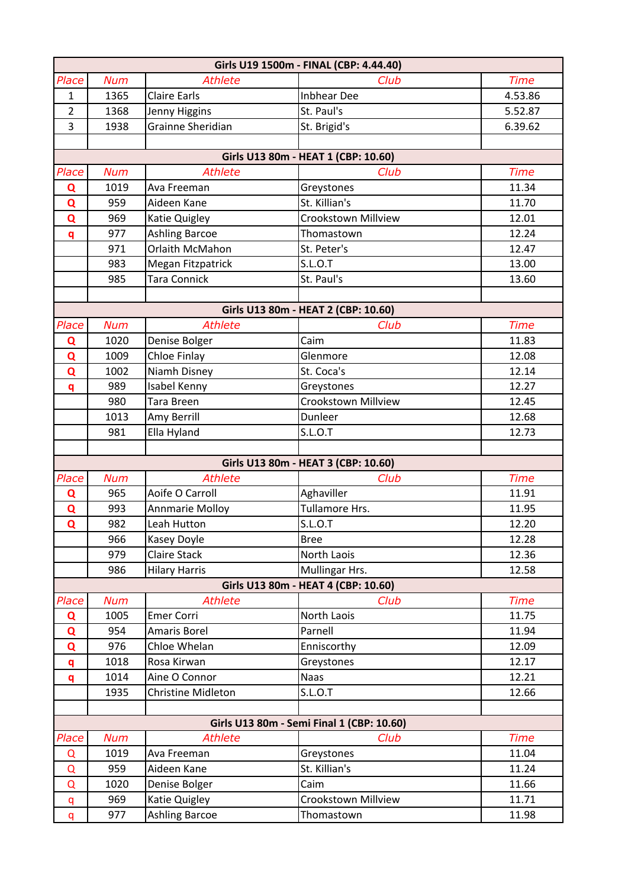| Girls U19 1500m - FINAL (CBP: 4.44.40) |            |                           |                                           |             |
|----------------------------------------|------------|---------------------------|-------------------------------------------|-------------|
| Place                                  | <b>Num</b> | <b>Athlete</b>            | Club                                      | <b>Time</b> |
| $\mathbf{1}$                           | 1365       | <b>Claire Earls</b>       | <b>Inbhear Dee</b>                        | 4.53.86     |
| $\overline{2}$                         | 1368       | Jenny Higgins             | St. Paul's                                | 5.52.87     |
| 3                                      | 1938       | Grainne Sheridian         | St. Brigid's                              | 6.39.62     |
|                                        |            |                           |                                           |             |
|                                        |            |                           | Girls U13 80m - HEAT 1 (CBP: 10.60)       |             |
| Place                                  | <b>Num</b> | <b>Athlete</b>            | Club                                      | <b>Time</b> |
| Q                                      | 1019       | Ava Freeman               | Greystones                                | 11.34       |
| Q                                      | 959        | Aideen Kane               | St. Killian's                             | 11.70       |
| Q                                      | 969        | Katie Quigley             | <b>Crookstown Millview</b>                | 12.01       |
| q                                      | 977        | <b>Ashling Barcoe</b>     | Thomastown                                | 12.24       |
|                                        | 971        | Orlaith McMahon           | St. Peter's                               | 12.47       |
|                                        | 983        | Megan Fitzpatrick         | <b>S.L.O.T</b>                            | 13.00       |
|                                        | 985        | <b>Tara Connick</b>       | St. Paul's                                | 13.60       |
|                                        |            |                           |                                           |             |
|                                        |            |                           | Girls U13 80m - HEAT 2 (CBP: 10.60)       |             |
| Place                                  | <b>Num</b> | <b>Athlete</b>            | Club                                      | <b>Time</b> |
| Q                                      | 1020       | Denise Bolger             | Caim                                      | 11.83       |
| Q                                      | 1009       | <b>Chloe Finlay</b>       | Glenmore                                  | 12.08       |
| Q                                      | 1002       | Niamh Disney              | St. Coca's                                | 12.14       |
| q                                      | 989        | Isabel Kenny              | Greystones                                | 12.27       |
|                                        | 980        | <b>Tara Breen</b>         | <b>Crookstown Millview</b>                | 12.45       |
|                                        | 1013       | Amy Berrill               | Dunleer                                   | 12.68       |
|                                        | 981        | Ella Hyland               | S.L.O.T                                   | 12.73       |
|                                        |            |                           |                                           |             |
|                                        |            |                           | Girls U13 80m - HEAT 3 (CBP: 10.60)       |             |
| Place                                  | <b>Num</b> | <b>Athlete</b>            | Club                                      | <b>Time</b> |
| Q                                      | 965        | Aoife O Carroll           | Aghaviller                                | 11.91       |
| Q                                      | 993        | <b>Annmarie Molloy</b>    | Tullamore Hrs.                            | 11.95       |
| $\overline{Q}$                         | 982        | Leah Hutton               | S.L.O.T                                   | 12.20       |
|                                        | 966        | Kasey Doyle               | <b>Bree</b>                               | 12.28       |
|                                        | 979        | <b>Claire Stack</b>       | North Laois                               | 12.36       |
|                                        | 986        | <b>Hilary Harris</b>      | Mullingar Hrs.                            | 12.58       |
|                                        |            |                           | Girls U13 80m - HEAT 4 (CBP: 10.60)       |             |
| Place                                  | <b>Num</b> | <b>Athlete</b>            | Club                                      | <b>Time</b> |
| Q                                      | 1005       | <b>Emer Corri</b>         | North Laois                               | 11.75       |
| $\mathbf Q$                            | 954        | <b>Amaris Borel</b>       | Parnell                                   | 11.94       |
| Q                                      | 976        | Chloe Whelan              | Enniscorthy                               | 12.09       |
| q                                      | 1018       | Rosa Kirwan               | Greystones                                | 12.17       |
| q                                      | 1014       | Aine O Connor             | <b>Naas</b>                               | 12.21       |
|                                        | 1935       | <b>Christine Midleton</b> | S.L.O.T                                   | 12.66       |
|                                        |            |                           |                                           |             |
|                                        |            |                           | Girls U13 80m - Semi Final 1 (CBP: 10.60) |             |
| Place                                  | <b>Num</b> | <b>Athlete</b>            | Club                                      | <b>Time</b> |
| Q                                      | 1019       | Ava Freeman               | Greystones                                | 11.04       |
| Q                                      | 959        | Aideen Kane               | St. Killian's                             | 11.24       |
| Q                                      | 1020       | Denise Bolger             | Caim                                      | 11.66       |
| q                                      | 969        | Katie Quigley             | Crookstown Millview                       | 11.71       |
| q                                      | 977        | <b>Ashling Barcoe</b>     | Thomastown                                | 11.98       |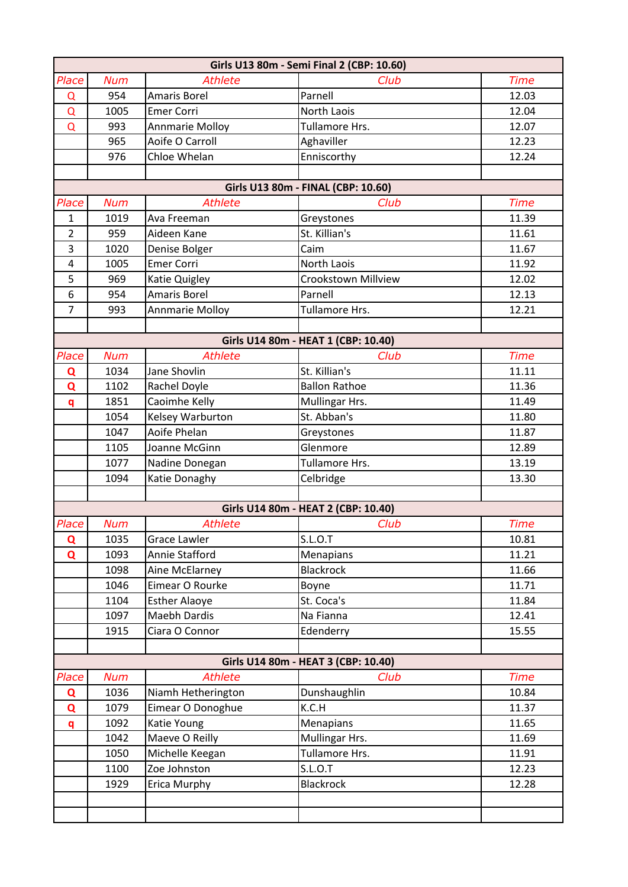| Girls U13 80m - Semi Final 2 (CBP: 10.60) |              |                                         |                                     |                |  |
|-------------------------------------------|--------------|-----------------------------------------|-------------------------------------|----------------|--|
| Place                                     | <b>Num</b>   | <b>Athlete</b>                          | Club                                | <b>Time</b>    |  |
| $\Omega$                                  | 954          | <b>Amaris Borel</b>                     | Parnell                             | 12.03          |  |
| $\Omega$                                  | 1005         | <b>Emer Corri</b>                       | <b>North Laois</b>                  | 12.04          |  |
| $\Omega$                                  | 993          | <b>Annmarie Molloy</b>                  | <b>Tullamore Hrs.</b>               | 12.07          |  |
|                                           | 965          | Aoife O Carroll                         | Aghaviller                          | 12.23          |  |
|                                           | 976          | Chloe Whelan                            | Enniscorthy                         | 12.24          |  |
|                                           |              |                                         |                                     |                |  |
|                                           |              |                                         | Girls U13 80m - FINAL (CBP: 10.60)  |                |  |
| Place                                     | <b>Num</b>   | <b>Athlete</b>                          | Club                                | <b>Time</b>    |  |
| $\mathbf{1}$                              | 1019         | Ava Freeman                             | Greystones                          | 11.39          |  |
| $\overline{2}$                            | 959          | Aideen Kane                             | St. Killian's                       | 11.61          |  |
| 3                                         | 1020         | Denise Bolger                           | Caim                                | 11.67          |  |
| 4                                         | 1005         | <b>Emer Corri</b>                       | North Laois                         | 11.92          |  |
| 5                                         | 969          | Katie Quigley                           | <b>Crookstown Millview</b>          | 12.02          |  |
| 6                                         | 954          | <b>Amaris Borel</b>                     | Parnell                             | 12.13          |  |
| $\overline{7}$                            | 993          | <b>Annmarie Molloy</b>                  | Tullamore Hrs.                      | 12.21          |  |
|                                           |              |                                         |                                     |                |  |
|                                           |              |                                         | Girls U14 80m - HEAT 1 (CBP: 10.40) |                |  |
| Place                                     | <b>Num</b>   | <b>Athlete</b>                          | Club                                | <b>Time</b>    |  |
| Q                                         | 1034         | Jane Shovlin                            | St. Killian's                       | 11.11          |  |
| $\mathbf Q$                               | 1102         | Rachel Doyle                            | <b>Ballon Rathoe</b>                | 11.36          |  |
| q                                         | 1851         | Caoimhe Kelly                           | Mullingar Hrs.                      | 11.49          |  |
|                                           | 1054         | Kelsey Warburton                        | St. Abban's                         | 11.80          |  |
|                                           | 1047         | Aoife Phelan                            | Greystones                          | 11.87          |  |
|                                           | 1105         | Joanne McGinn                           | Glenmore                            | 12.89          |  |
|                                           | 1077         | Nadine Donegan                          | Tullamore Hrs.                      | 13.19          |  |
|                                           | 1094         | Katie Donaghy                           | Celbridge                           | 13.30          |  |
|                                           |              |                                         |                                     |                |  |
|                                           |              |                                         | Girls U14 80m - HEAT 2 (CBP: 10.40) |                |  |
| Place                                     | <b>Num</b>   | <b>Athlete</b>                          | Club                                | <b>Time</b>    |  |
| Q                                         | 1035         | <b>Grace Lawler</b>                     | S.L.O.T                             | 10.81          |  |
| $\mathbf Q$                               | 1093         | Annie Stafford                          | Menapians<br><b>Blackrock</b>       | 11.21          |  |
|                                           | 1098         | Aine McElarney                          |                                     | 11.66          |  |
|                                           | 1046<br>1104 | Eimear O Rourke<br><b>Esther Alaoye</b> | Boyne<br>St. Coca's                 | 11.71<br>11.84 |  |
|                                           | 1097         | <b>Maebh Dardis</b>                     | Na Fianna                           | 12.41          |  |
|                                           | 1915         | Ciara O Connor                          | Edenderry                           | 15.55          |  |
|                                           |              |                                         |                                     |                |  |
|                                           |              |                                         | Girls U14 80m - HEAT 3 (CBP: 10.40) |                |  |
| Place                                     | <b>Num</b>   | <b>Athlete</b>                          | Club                                | <b>Time</b>    |  |
| Q                                         | 1036         | Niamh Hetherington                      | Dunshaughlin                        | 10.84          |  |
| Q                                         | 1079         | Eimear O Donoghue                       | K.C.H                               | 11.37          |  |
| q                                         | 1092         | Katie Young                             | Menapians                           | 11.65          |  |
|                                           | 1042         | Maeve O Reilly                          | Mullingar Hrs.                      | 11.69          |  |
|                                           | 1050         | Michelle Keegan                         | Tullamore Hrs.                      | 11.91          |  |
|                                           | 1100         | Zoe Johnston                            | S.L.O.T                             | 12.23          |  |
|                                           | 1929         | Erica Murphy                            | <b>Blackrock</b>                    | 12.28          |  |
|                                           |              |                                         |                                     |                |  |
|                                           |              |                                         |                                     |                |  |
|                                           |              |                                         |                                     |                |  |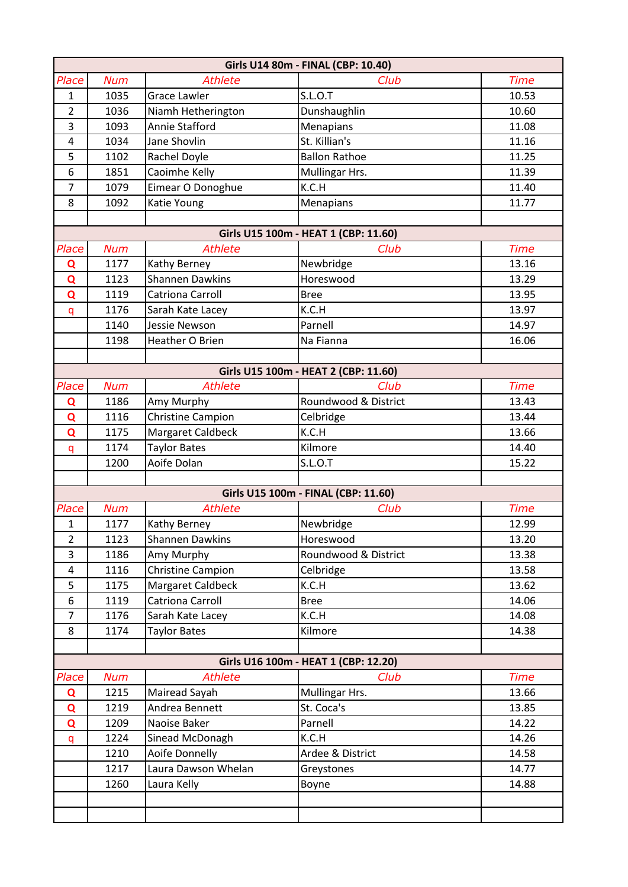|                | Girls U14 80m - FINAL (CBP: 10.40) |                        |                                      |             |  |
|----------------|------------------------------------|------------------------|--------------------------------------|-------------|--|
| Place          | <b>Num</b>                         | <b>Athlete</b>         | Club                                 | <b>Time</b> |  |
| $\mathbf{1}$   | 1035                               | <b>Grace Lawler</b>    | <b>S.L.O.T</b>                       | 10.53       |  |
| $\overline{2}$ | 1036                               | Niamh Hetherington     | Dunshaughlin                         | 10.60       |  |
| 3              | 1093                               | Annie Stafford         | Menapians                            | 11.08       |  |
| $\overline{a}$ | 1034                               | Jane Shovlin           | St. Killian's                        | 11.16       |  |
| 5              | 1102                               | Rachel Doyle           | <b>Ballon Rathoe</b>                 | 11.25       |  |
| 6              | 1851                               | Caoimhe Kelly          | Mullingar Hrs.                       | 11.39       |  |
| $\overline{7}$ | 1079                               | Eimear O Donoghue      | K.C.H                                | 11.40       |  |
| 8              | 1092                               | Katie Young            | Menapians                            | 11.77       |  |
|                |                                    |                        |                                      |             |  |
|                |                                    |                        | Girls U15 100m - HEAT 1 (CBP: 11.60) |             |  |
| Place          | <b>Num</b>                         | <b>Athlete</b>         | Club                                 | <b>Time</b> |  |
| Q              | 1177                               | Kathy Berney           | Newbridge                            | 13.16       |  |
| Q              | 1123                               | <b>Shannen Dawkins</b> | Horeswood                            | 13.29       |  |
| $\mathbf Q$    | 1119                               | Catriona Carroll       | <b>Bree</b>                          | 13.95       |  |
| q              | 1176                               | Sarah Kate Lacey       | K.C.H                                | 13.97       |  |
|                | 1140                               | Jessie Newson          | Parnell                              | 14.97       |  |
|                | 1198                               | Heather O Brien        | Na Fianna                            | 16.06       |  |
|                |                                    |                        |                                      |             |  |
|                |                                    |                        | Girls U15 100m - HEAT 2 (CBP: 11.60) |             |  |
| Place          | <b>Num</b>                         | <b>Athlete</b>         | Club                                 | <b>Time</b> |  |
| Q              | 1186                               | Amy Murphy             | Roundwood & District                 | 13.43       |  |
| Q              | 1116                               | Christine Campion      | Celbridge                            | 13.44       |  |
| Q              | 1175                               | Margaret Caldbeck      | K.C.H                                | 13.66       |  |
| q              | 1174                               | <b>Taylor Bates</b>    | Kilmore                              | 14.40       |  |
|                | 1200                               | Aoife Dolan            | S.L.O.T                              | 15.22       |  |
|                |                                    |                        |                                      |             |  |
|                |                                    |                        | Girls U15 100m - FINAL (CBP: 11.60)  |             |  |
| Place          | <b>Num</b>                         | <b>Athlete</b>         | Club                                 | <b>Time</b> |  |
| 1              | 1177                               | Kathy Berney           | Newbridge                            | 12.99       |  |
| $\overline{2}$ | 1123                               | <b>Shannen Dawkins</b> | Horeswood                            | 13.20       |  |
| 3              | 1186                               | Amy Murphy             | Roundwood & District                 | 13.38       |  |
| 4              | 1116                               | Christine Campion      | Celbridge                            | 13.58       |  |
| 5              | 1175                               | Margaret Caldbeck      | K.C.H                                | 13.62       |  |
| 6              | 1119                               | Catriona Carroll       | <b>Bree</b>                          | 14.06       |  |
| $\overline{7}$ | 1176                               | Sarah Kate Lacey       | K.C.H                                | 14.08       |  |
| 8              | 1174                               | <b>Taylor Bates</b>    | Kilmore                              | 14.38       |  |
|                |                                    |                        |                                      |             |  |
|                |                                    |                        | Girls U16 100m - HEAT 1 (CBP: 12.20) |             |  |
| Place          | <b>Num</b>                         | <b>Athlete</b>         | Club                                 | <b>Time</b> |  |
| Q              | 1215                               | Mairead Sayah          | Mullingar Hrs.                       | 13.66       |  |
| Q              | 1219                               | Andrea Bennett         | St. Coca's                           | 13.85       |  |
| Q              | 1209                               | Naoise Baker           | Parnell                              | 14.22       |  |
| q              | 1224                               | Sinead McDonagh        | K.C.H                                | 14.26       |  |
|                | 1210                               | Aoife Donnelly         | Ardee & District                     | 14.58       |  |
|                | 1217                               | Laura Dawson Whelan    | Greystones                           | 14.77       |  |
|                | 1260                               | Laura Kelly            | Boyne                                | 14.88       |  |
|                |                                    |                        |                                      |             |  |
|                |                                    |                        |                                      |             |  |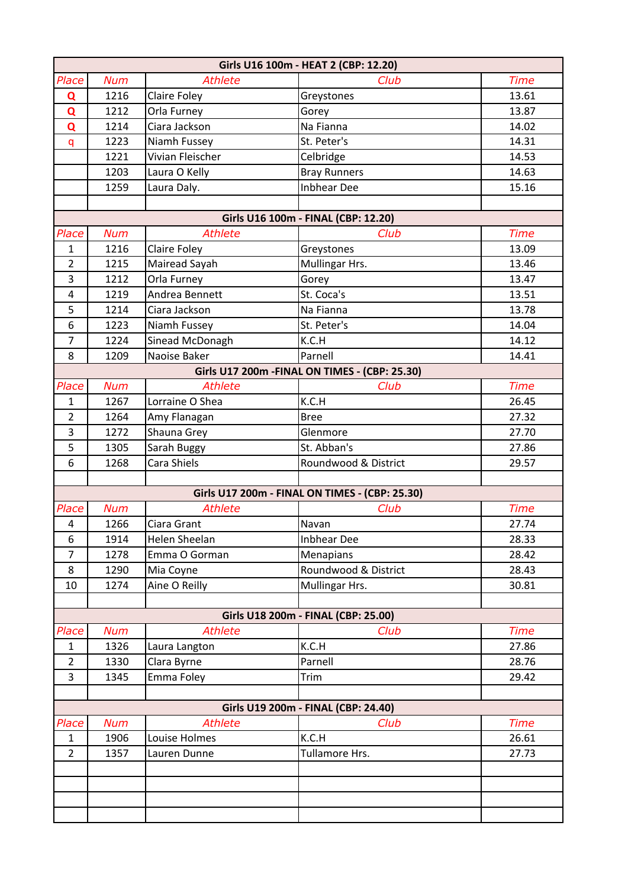| Girls U16 100m - HEAT 2 (CBP: 12.20) |            |                  |                                                |             |
|--------------------------------------|------------|------------------|------------------------------------------------|-------------|
| Place                                | <b>Num</b> | <b>Athlete</b>   | Club                                           | <b>Time</b> |
| Q                                    | 1216       | Claire Foley     | Greystones                                     | 13.61       |
| Q                                    | 1212       | Orla Furney      | Gorey                                          | 13.87       |
| Q                                    | 1214       | Ciara Jackson    | Na Fianna                                      | 14.02       |
| q                                    | 1223       | Niamh Fussey     | St. Peter's                                    | 14.31       |
|                                      | 1221       | Vivian Fleischer | Celbridge                                      | 14.53       |
|                                      | 1203       | Laura O Kelly    | <b>Bray Runners</b>                            | 14.63       |
|                                      | 1259       | Laura Daly.      | <b>Inbhear Dee</b>                             | 15.16       |
|                                      |            |                  |                                                |             |
|                                      |            |                  | Girls U16 100m - FINAL (CBP: 12.20)            |             |
| Place                                | <b>Num</b> | <b>Athlete</b>   | Club                                           | <b>Time</b> |
| 1                                    | 1216       | Claire Foley     | Greystones                                     | 13.09       |
| $\overline{2}$                       | 1215       | Mairead Sayah    | Mullingar Hrs.                                 | 13.46       |
| 3                                    | 1212       | Orla Furney      | Gorey                                          | 13.47       |
| $\overline{4}$                       | 1219       | Andrea Bennett   | St. Coca's                                     | 13.51       |
| 5                                    | 1214       | Ciara Jackson    | Na Fianna                                      | 13.78       |
| 6                                    | 1223       | Niamh Fussey     | St. Peter's                                    | 14.04       |
| $\overline{7}$                       | 1224       | Sinead McDonagh  | K.C.H                                          | 14.12       |
| 8                                    | 1209       | Naoise Baker     | Parnell                                        | 14.41       |
|                                      |            |                  | Girls U17 200m - FINAL ON TIMES - (CBP: 25.30) |             |
| Place                                | <b>Num</b> | <b>Athlete</b>   | Club                                           | <b>Time</b> |
| $\mathbf{1}$                         | 1267       | Lorraine O Shea  | K.C.H                                          | 26.45       |
| $\overline{2}$                       | 1264       | Amy Flanagan     | <b>Bree</b>                                    | 27.32       |
| 3                                    | 1272       | Shauna Grey      | Glenmore                                       | 27.70       |
| 5                                    | 1305       | Sarah Buggy      | St. Abban's                                    | 27.86       |
| 6                                    | 1268       | Cara Shiels      | Roundwood & District                           | 29.57       |
|                                      |            |                  |                                                |             |
|                                      |            |                  | Girls U17 200m - FINAL ON TIMES - (CBP: 25.30) |             |
| Place                                | <b>Num</b> | <b>Athlete</b>   | Club                                           | <b>Time</b> |
| $\pmb{4}$                            | 1266       | Ciara Grant      | Navan                                          | 27.74       |
| 6                                    | 1914       | Helen Sheelan    | <b>Inbhear Dee</b>                             | 28.33       |
| $\overline{7}$                       | 1278       | Emma O Gorman    | Menapians                                      | 28.42       |
| 8                                    | 1290       | Mia Coyne        | Roundwood & District                           | 28.43       |
| 10                                   | 1274       | Aine O Reilly    | Mullingar Hrs.                                 | 30.81       |
|                                      |            |                  | Girls U18 200m - FINAL (CBP: 25.00)            |             |
| Place                                | <b>Num</b> | <b>Athlete</b>   | Club                                           | <b>Time</b> |
| $\mathbf{1}$                         | 1326       | Laura Langton    | K.C.H                                          | 27.86       |
| $\overline{2}$                       | 1330       | Clara Byrne      | Parnell                                        | 28.76       |
| 3                                    | 1345       | Emma Foley       | Trim                                           | 29.42       |
|                                      |            |                  |                                                |             |
|                                      |            |                  | Girls U19 200m - FINAL (CBP: 24.40)            |             |
| Place                                | <b>Num</b> | <b>Athlete</b>   | Club                                           | <b>Time</b> |
| $\mathbf{1}$                         | 1906       | Louise Holmes    | K.C.H                                          | 26.61       |
| $\overline{2}$                       | 1357       | Lauren Dunne     | Tullamore Hrs.                                 | 27.73       |
|                                      |            |                  |                                                |             |
|                                      |            |                  |                                                |             |
|                                      |            |                  |                                                |             |
|                                      |            |                  |                                                |             |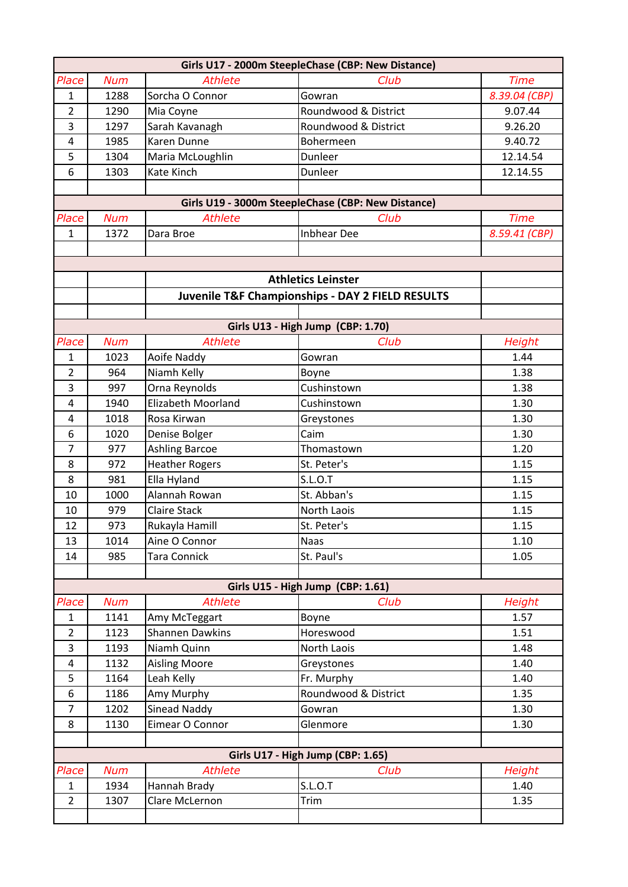| Girls U17 - 2000m SteepleChase (CBP: New Distance) |            |                           |                                                    |               |  |
|----------------------------------------------------|------------|---------------------------|----------------------------------------------------|---------------|--|
| Place                                              | <b>Num</b> | <b>Athlete</b>            | Club                                               | <b>Time</b>   |  |
| $\mathbf{1}$                                       | 1288       | Sorcha O Connor           | Gowran                                             | 8.39.04 (CBP) |  |
| $\overline{2}$                                     | 1290       | Mia Coyne                 | Roundwood & District                               | 9.07.44       |  |
| 3                                                  | 1297       | Sarah Kavanagh            | Roundwood & District                               | 9.26.20       |  |
| 4                                                  | 1985       | Karen Dunne               | Bohermeen                                          | 9.40.72       |  |
| 5                                                  | 1304       | Maria McLoughlin          | Dunleer                                            | 12.14.54      |  |
| 6                                                  | 1303       | Kate Kinch                | Dunleer                                            | 12.14.55      |  |
|                                                    |            |                           |                                                    |               |  |
|                                                    |            |                           | Girls U19 - 3000m SteepleChase (CBP: New Distance) |               |  |
| Place                                              | <b>Num</b> | <b>Athlete</b>            | Club                                               | <b>Time</b>   |  |
| 1                                                  | 1372       | Dara Broe                 | <b>Inbhear Dee</b>                                 | 8.59.41 (CBP) |  |
|                                                    |            |                           |                                                    |               |  |
|                                                    |            |                           |                                                    |               |  |
|                                                    |            |                           | <b>Athletics Leinster</b>                          |               |  |
|                                                    |            |                           | Juvenile T&F Championships - DAY 2 FIELD RESULTS   |               |  |
|                                                    |            |                           |                                                    |               |  |
|                                                    |            |                           | Girls U13 - High Jump (CBP: 1.70)                  |               |  |
| Place                                              | <b>Num</b> | <b>Athlete</b>            | Club                                               | <b>Height</b> |  |
| $\mathbf{1}$                                       | 1023       | Aoife Naddy               | Gowran                                             | 1.44          |  |
| $\overline{2}$                                     | 964        | Niamh Kelly               | Boyne                                              | 1.38          |  |
| 3                                                  | 997        | Orna Reynolds             | Cushinstown                                        | 1.38          |  |
| 4                                                  | 1940       | <b>Elizabeth Moorland</b> | Cushinstown                                        | 1.30          |  |
| 4                                                  | 1018       | Rosa Kirwan               | Greystones                                         | 1.30          |  |
| 6                                                  | 1020       | Denise Bolger             | Caim                                               | 1.30          |  |
| $\overline{7}$                                     | 977        | <b>Ashling Barcoe</b>     | Thomastown                                         | 1.20          |  |
| 8                                                  | 972        | <b>Heather Rogers</b>     | St. Peter's                                        | 1.15          |  |
| 8                                                  | 981        | Ella Hyland               | <b>S.L.O.T</b>                                     | 1.15          |  |
| 10                                                 | 1000       | Alannah Rowan             | St. Abban's                                        | 1.15          |  |
| 10                                                 | 979        | <b>Claire Stack</b>       | North Laois                                        | 1.15          |  |
| 12                                                 | 973        | Rukayla Hamill            | St. Peter's                                        | 1.15          |  |
| 13                                                 | 1014       | Aine O Connor             | <b>Naas</b>                                        | 1.10          |  |
| 14                                                 | 985        | Tara Connick              | St. Paul's                                         | 1.05          |  |
|                                                    |            |                           |                                                    |               |  |
|                                                    |            |                           | Girls U15 - High Jump (CBP: 1.61)                  |               |  |
| Place                                              | <b>Num</b> | <b>Athlete</b>            | Club                                               | <b>Height</b> |  |
| $\mathbf{1}$                                       | 1141       | Amy McTeggart             | Boyne                                              | 1.57          |  |
| $\overline{2}$                                     | 1123       | <b>Shannen Dawkins</b>    | Horeswood                                          | 1.51          |  |
| 3                                                  | 1193       | Niamh Quinn               | North Laois                                        | 1.48          |  |
| $\overline{4}$                                     | 1132       | <b>Aisling Moore</b>      | Greystones                                         | 1.40          |  |
| 5                                                  | 1164       | Leah Kelly                | Fr. Murphy                                         | 1.40          |  |
| 6                                                  | 1186       | Amy Murphy                | Roundwood & District                               | 1.35          |  |
| $\overline{7}$                                     | 1202       | <b>Sinead Naddy</b>       | Gowran                                             | 1.30          |  |
| 8                                                  | 1130       | Eimear O Connor           | Glenmore                                           | 1.30          |  |
|                                                    |            |                           |                                                    |               |  |
|                                                    |            |                           | Girls U17 - High Jump (CBP: 1.65)                  |               |  |
| Place                                              | <b>Num</b> | <b>Athlete</b>            | Club                                               | <b>Height</b> |  |
| $\mathbf{1}$                                       | 1934       | Hannah Brady              | S.L.O.T                                            | 1.40          |  |
| $\overline{2}$                                     | 1307       | Clare McLernon            | Trim                                               | 1.35          |  |
|                                                    |            |                           |                                                    |               |  |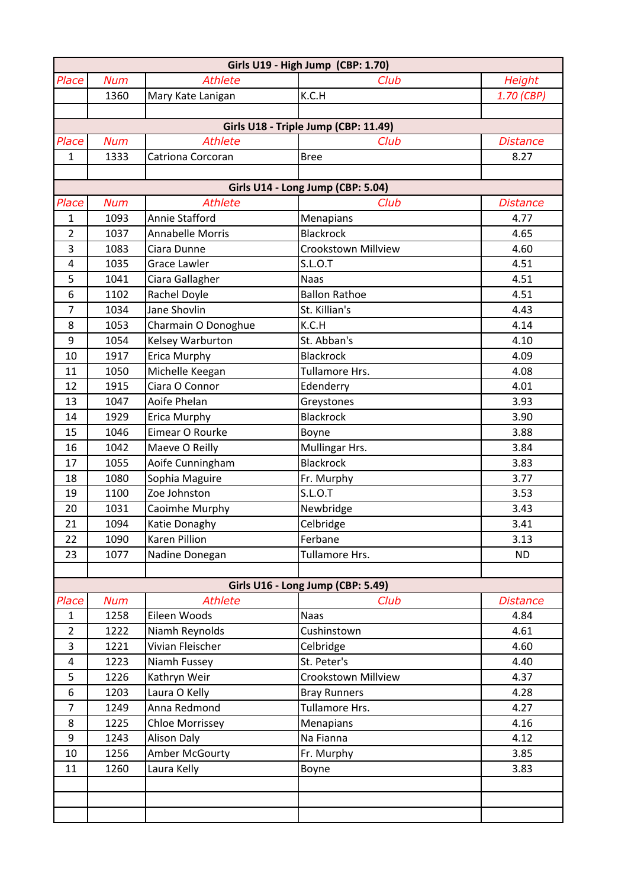|                         | Girls U19 - High Jump (CBP: 1.70) |                                    |                                      |                 |  |
|-------------------------|-----------------------------------|------------------------------------|--------------------------------------|-----------------|--|
| Place                   | <b>Num</b>                        | <b>Athlete</b>                     | Club                                 | Height          |  |
|                         | 1360                              | Mary Kate Lanigan                  | K.C.H                                | 1.70 (CBP)      |  |
|                         |                                   |                                    |                                      |                 |  |
|                         |                                   |                                    | Girls U18 - Triple Jump (CBP: 11.49) |                 |  |
| Place                   | <b>Num</b>                        | <b>Athlete</b>                     | Club                                 | <b>Distance</b> |  |
| 1                       | 1333                              | Catriona Corcoran                  | <b>Bree</b>                          | 8.27            |  |
|                         |                                   |                                    |                                      |                 |  |
|                         |                                   |                                    | Girls U14 - Long Jump (CBP: 5.04)    |                 |  |
| Place                   | <b>Num</b>                        | <b>Athlete</b>                     | Club                                 | <b>Distance</b> |  |
| $\mathbf{1}$            | 1093                              | Annie Stafford                     | Menapians                            | 4.77            |  |
| $\overline{2}$          | 1037                              | <b>Annabelle Morris</b>            | <b>Blackrock</b>                     | 4.65            |  |
| 3                       | 1083                              | Ciara Dunne                        | <b>Crookstown Millview</b>           | 4.60            |  |
| $\overline{4}$          | 1035                              | <b>Grace Lawler</b>                | S.L.O.T                              | 4.51            |  |
| 5                       | 1041                              | Ciara Gallagher                    | <b>Naas</b>                          | 4.51            |  |
| 6                       | 1102                              | Rachel Doyle                       | <b>Ballon Rathoe</b>                 | 4.51            |  |
| $\overline{7}$          | 1034                              | Jane Shovlin                       | St. Killian's                        | 4.43            |  |
| 8                       | 1053                              | Charmain O Donoghue                | K.C.H                                | 4.14            |  |
| 9                       | 1054                              | Kelsey Warburton                   | St. Abban's                          | 4.10            |  |
| 10                      | 1917                              | Erica Murphy                       | <b>Blackrock</b>                     | 4.09            |  |
| 11                      | 1050                              | Michelle Keegan                    | Tullamore Hrs.                       | 4.08            |  |
| 12                      | 1915                              | Ciara O Connor                     | Edenderry                            | 4.01            |  |
| 13                      | 1047                              | Aoife Phelan                       | Greystones                           | 3.93            |  |
| 14                      | 1929                              | Erica Murphy                       | <b>Blackrock</b>                     | 3.90            |  |
| 15                      | 1046                              | Eimear O Rourke                    | Boyne                                | 3.88            |  |
| 16                      | 1042                              | Maeve O Reilly                     | Mullingar Hrs.                       | 3.84            |  |
| 17                      | 1055                              | Aoife Cunningham                   | Blackrock                            | 3.83            |  |
| 18                      | 1080                              | Sophia Maguire                     | Fr. Murphy                           | 3.77            |  |
| 19                      | 1100                              | Zoe Johnston                       | S.L.O.T                              | 3.53            |  |
| 20                      | 1031                              | Caoimhe Murphy                     | Newbridge                            | 3.43            |  |
| 21                      | 1094                              | Katie Donaghy                      | Celbridge                            | 3.41            |  |
| 22                      | 1090                              | Karen Pillion                      | Ferbane                              | 3.13            |  |
| 23                      | 1077                              | Nadine Donegan                     | Tullamore Hrs.                       | <b>ND</b>       |  |
|                         |                                   |                                    |                                      |                 |  |
|                         |                                   | <b>Athlete</b>                     | Girls U16 - Long Jump (CBP: 5.49)    |                 |  |
| Place                   | <b>Num</b>                        |                                    | Club                                 | <b>Distance</b> |  |
| $\mathbf{1}$            | 1258                              | Eileen Woods                       | <b>Naas</b><br>Cushinstown           | 4.84<br>4.61    |  |
| $\overline{2}$<br>3     | 1222<br>1221                      | Niamh Reynolds<br>Vivian Fleischer | Celbridge                            | 4.60            |  |
| $\overline{\mathbf{4}}$ | 1223                              | Niamh Fussey                       | St. Peter's                          | 4.40            |  |
| 5                       | 1226                              | Kathryn Weir                       | Crookstown Millview                  | 4.37            |  |
| 6                       | 1203                              | Laura O Kelly                      | <b>Bray Runners</b>                  | 4.28            |  |
| $\overline{7}$          | 1249                              | Anna Redmond                       | Tullamore Hrs.                       | 4.27            |  |
| 8                       | 1225                              | <b>Chloe Morrissey</b>             | Menapians                            | 4.16            |  |
| 9                       | 1243                              | <b>Alison Daly</b>                 | Na Fianna                            | 4.12            |  |
| 10                      | 1256                              | Amber McGourty                     | Fr. Murphy                           | 3.85            |  |
| 11                      | 1260                              | Laura Kelly                        | Boyne                                | 3.83            |  |
|                         |                                   |                                    |                                      |                 |  |
|                         |                                   |                                    |                                      |                 |  |
|                         |                                   |                                    |                                      |                 |  |
|                         |                                   |                                    |                                      |                 |  |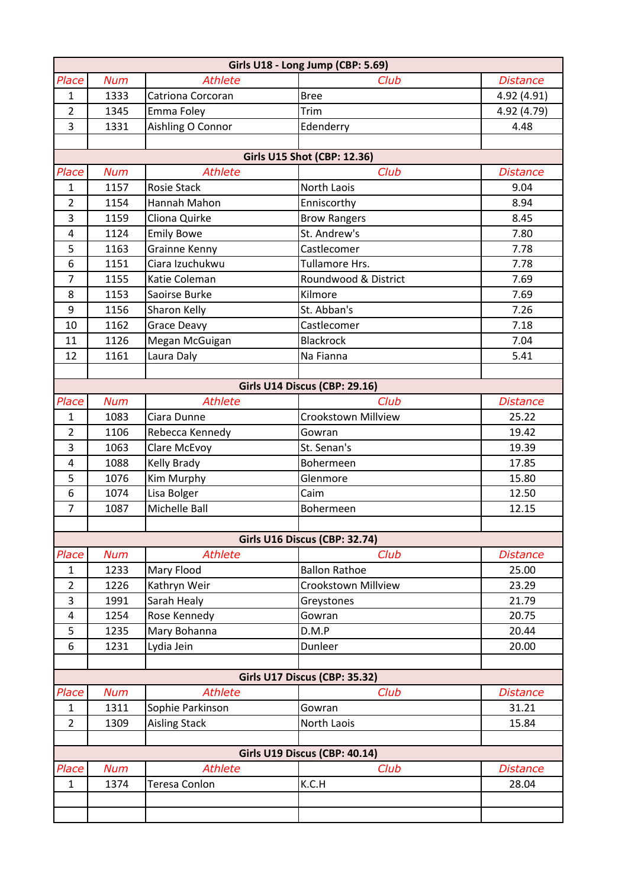|                                  | Girls U18 - Long Jump (CBP: 5.69) |                                  |                                    |                 |  |
|----------------------------------|-----------------------------------|----------------------------------|------------------------------------|-----------------|--|
| Place                            | <b>Num</b>                        | <b>Athlete</b>                   | Club                               | <b>Distance</b> |  |
| $\mathbf{1}$                     | 1333                              | Catriona Corcoran                | <b>Bree</b>                        | 4.92 (4.91)     |  |
| $\overline{2}$                   | 1345                              | Emma Foley                       | Trim                               | 4.92 (4.79)     |  |
| 3                                | 1331                              | Aishling O Connor                | Edenderry                          | 4.48            |  |
|                                  |                                   |                                  |                                    |                 |  |
|                                  |                                   |                                  | <b>Girls U15 Shot (CBP: 12.36)</b> |                 |  |
| Place                            | <b>Num</b>                        | <b>Athlete</b>                   | Club                               | <b>Distance</b> |  |
| $\mathbf{1}$                     | 1157                              | <b>Rosie Stack</b>               | North Laois                        | 9.04            |  |
| $\overline{2}$                   | 1154                              | Hannah Mahon                     | Enniscorthy                        | 8.94            |  |
| 3                                | 1159                              | Cliona Quirke                    | <b>Brow Rangers</b>                | 8.45            |  |
| $\overline{a}$                   | 1124                              | <b>Emily Bowe</b>                | St. Andrew's                       | 7.80            |  |
| 5                                | 1163                              | <b>Grainne Kenny</b>             | Castlecomer                        | 7.78            |  |
| 6                                | 1151                              | Ciara Izuchukwu                  | Tullamore Hrs.                     | 7.78            |  |
| $\overline{7}$                   | 1155                              | Katie Coleman                    | Roundwood & District               | 7.69            |  |
| 8                                | 1153                              | Saoirse Burke                    | Kilmore                            | 7.69            |  |
| 9                                | 1156                              | Sharon Kelly                     | St. Abban's                        | 7.26            |  |
| 10                               | 1162                              | <b>Grace Deavy</b>               | Castlecomer                        | 7.18            |  |
| 11                               | 1126                              | Megan McGuigan                   | <b>Blackrock</b>                   | 7.04            |  |
| 12                               | 1161                              | Laura Daly                       | Na Fianna                          | 5.41            |  |
|                                  |                                   |                                  |                                    |                 |  |
|                                  |                                   |                                  | Girls U14 Discus (CBP: 29.16)      |                 |  |
| Place                            | <b>Num</b>                        | <b>Athlete</b>                   | Club                               | <b>Distance</b> |  |
| $\mathbf{1}$                     | 1083                              | Ciara Dunne                      | Crookstown Millview                | 25.22           |  |
| $\overline{2}$<br>$\overline{3}$ | 1106                              | Rebecca Kennedy                  | Gowran                             | 19.42           |  |
|                                  | 1063<br>1088                      | Clare McEvoy                     | St. Senan's<br>Bohermeen           | 19.39<br>17.85  |  |
| 4<br>5                           | 1076                              | <b>Kelly Brady</b><br>Kim Murphy | Glenmore                           | 15.80           |  |
| 6                                | 1074                              | Lisa Bolger                      | Caim                               | 12.50           |  |
| $\overline{7}$                   | 1087                              | Michelle Ball                    | Bohermeen                          | 12.15           |  |
|                                  |                                   |                                  |                                    |                 |  |
|                                  |                                   |                                  | Girls U16 Discus (CBP: 32.74)      |                 |  |
| Place                            | <b>Num</b>                        | <b>Athlete</b>                   | Club                               | <b>Distance</b> |  |
| $\mathbf{1}$                     | 1233                              | Mary Flood                       | <b>Ballon Rathoe</b>               | 25.00           |  |
| $\overline{2}$                   | 1226                              | Kathryn Weir                     | <b>Crookstown Millview</b>         | 23.29           |  |
| 3                                | 1991                              | Sarah Healy                      | Greystones                         | 21.79           |  |
| 4                                | 1254                              | Rose Kennedy                     | Gowran                             | 20.75           |  |
| 5                                | 1235                              | Mary Bohanna                     | D.M.P                              | 20.44           |  |
| 6                                | 1231                              | Lydia Jein                       | Dunleer                            | 20.00           |  |
|                                  |                                   |                                  |                                    |                 |  |
|                                  |                                   |                                  | Girls U17 Discus (CBP: 35.32)      |                 |  |
| Place                            | <b>Num</b>                        | <b>Athlete</b>                   | Club                               | <b>Distance</b> |  |
| 1                                | 1311                              | Sophie Parkinson                 | Gowran                             | 31.21           |  |
| $\overline{2}$                   | 1309                              | <b>Aisling Stack</b>             | North Laois                        | 15.84           |  |
|                                  |                                   |                                  |                                    |                 |  |
|                                  |                                   |                                  | Girls U19 Discus (CBP: 40.14)      |                 |  |
| Place                            | <b>Num</b>                        | <b>Athlete</b>                   | Club                               | <b>Distance</b> |  |
| $\mathbf{1}$                     | 1374                              | Teresa Conlon                    | K.C.H                              | 28.04           |  |
|                                  |                                   |                                  |                                    |                 |  |
|                                  |                                   |                                  |                                    |                 |  |